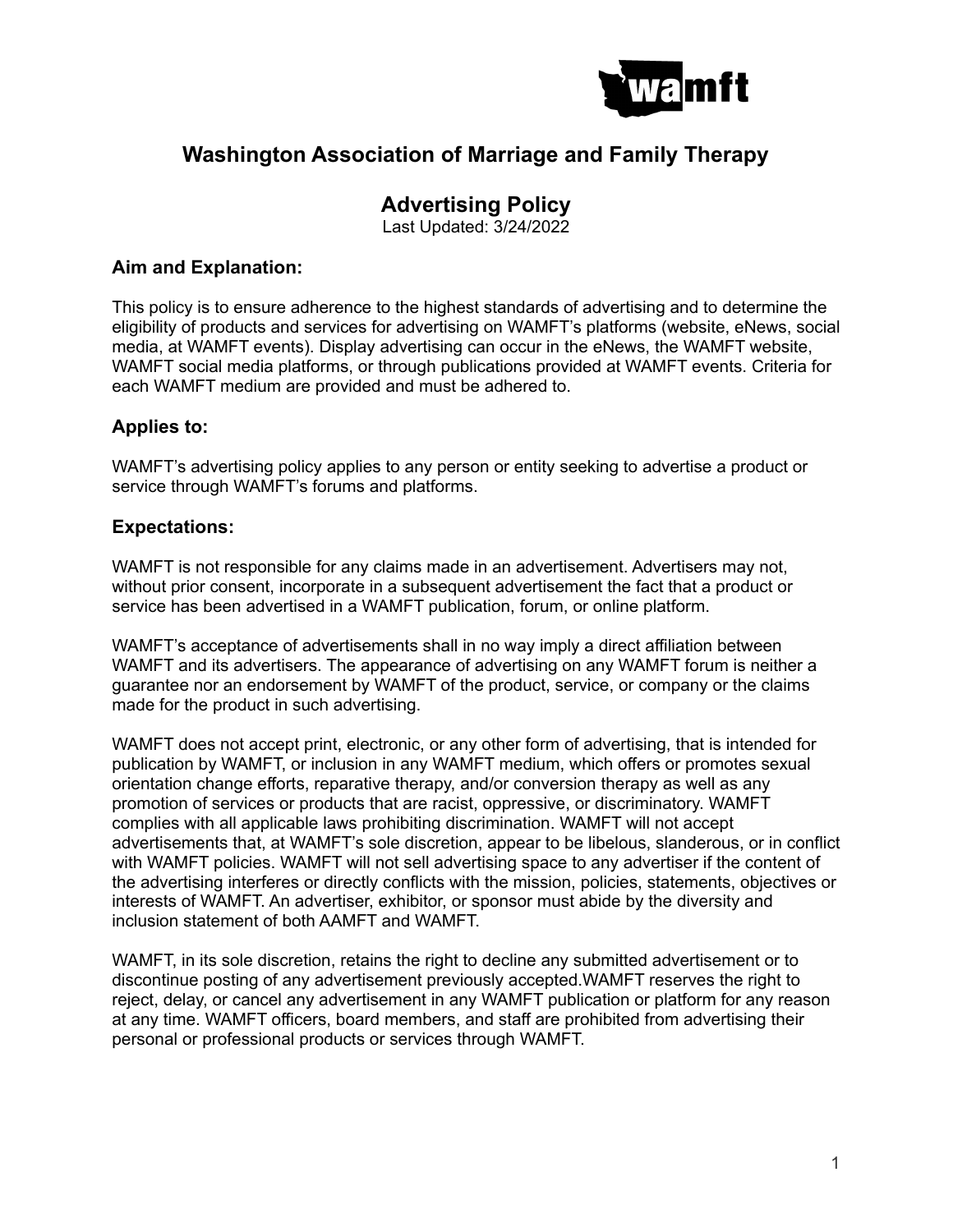

## **Washington Association of Marriage and Family Therapy**

## **Advertising Policy**

Last Updated: 3/24/2022

### **Aim and Explanation:**

This policy is to ensure adherence to the highest standards of advertising and to determine the eligibility of products and services for advertising on WAMFT's platforms (website, eNews, social media, at WAMFT events). Display advertising can occur in the eNews, the WAMFT website, WAMFT social media platforms, or through publications provided at WAMFT events. Criteria for each WAMFT medium are provided and must be adhered to.

### **Applies to:**

WAMFT's advertising policy applies to any person or entity seeking to advertise a product or service through WAMFT's forums and platforms.

#### **Expectations:**

WAMFT is not responsible for any claims made in an advertisement. Advertisers may not, without prior consent, incorporate in a subsequent advertisement the fact that a product or service has been advertised in a WAMFT publication, forum, or online platform.

WAMFT's acceptance of advertisements shall in no way imply a direct affiliation between WAMFT and its advertisers. The appearance of advertising on any WAMFT forum is neither a guarantee nor an endorsement by WAMFT of the product, service, or company or the claims made for the product in such advertising.

WAMFT does not accept print, electronic, or any other form of advertising, that is intended for publication by WAMFT, or inclusion in any WAMFT medium, which offers or promotes sexual orientation change efforts, reparative therapy, and/or conversion therapy as well as any promotion of services or products that are racist, oppressive, or discriminatory. WAMFT complies with all applicable laws prohibiting discrimination. WAMFT will not accept advertisements that, at WAMFT's sole discretion, appear to be libelous, slanderous, or in conflict with WAMFT policies. WAMFT will not sell advertising space to any advertiser if the content of the advertising interferes or directly conflicts with the mission, policies, statements, objectives or interests of WAMFT. An advertiser, exhibitor, or sponsor must abide by the diversity and inclusion statement of both AAMFT and WAMFT.

WAMFT, in its sole discretion, retains the right to decline any submitted advertisement or to discontinue posting of any advertisement previously accepted.WAMFT reserves the right to reject, delay, or cancel any advertisement in any WAMFT publication or platform for any reason at any time. WAMFT officers, board members, and staff are prohibited from advertising their personal or professional products or services through WAMFT.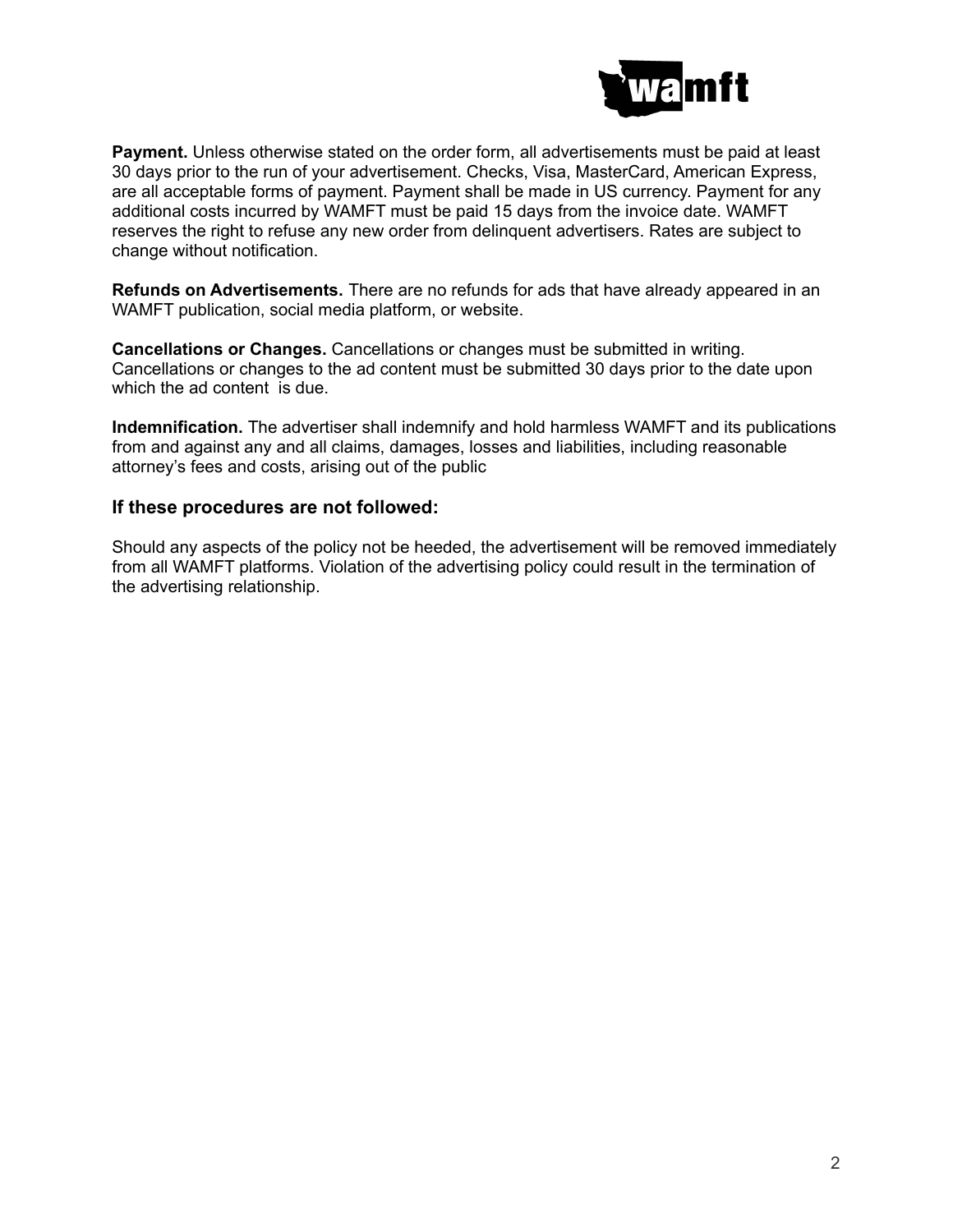

**Payment.** Unless otherwise stated on the order form, all advertisements must be paid at least 30 days prior to the run of your advertisement. Checks, Visa, MasterCard, American Express, are all acceptable forms of payment. Payment shall be made in US currency. Payment for any additional costs incurred by WAMFT must be paid 15 days from the invoice date. WAMFT reserves the right to refuse any new order from delinquent advertisers. Rates are subject to change without notification.

**Refunds on Advertisements.** There are no refunds for ads that have already appeared in an WAMFT publication, social media platform, or website.

**Cancellations or Changes.** Cancellations or changes must be submitted in writing. Cancellations or changes to the ad content must be submitted 30 days prior to the date upon which the ad content is due.

**Indemnification.** The advertiser shall indemnify and hold harmless WAMFT and its publications from and against any and all claims, damages, losses and liabilities, including reasonable attorney's fees and costs, arising out of the public

#### **If these procedures are not followed:**

Should any aspects of the policy not be heeded, the advertisement will be removed immediately from all WAMFT platforms. Violation of the advertising policy could result in the termination of the advertising relationship.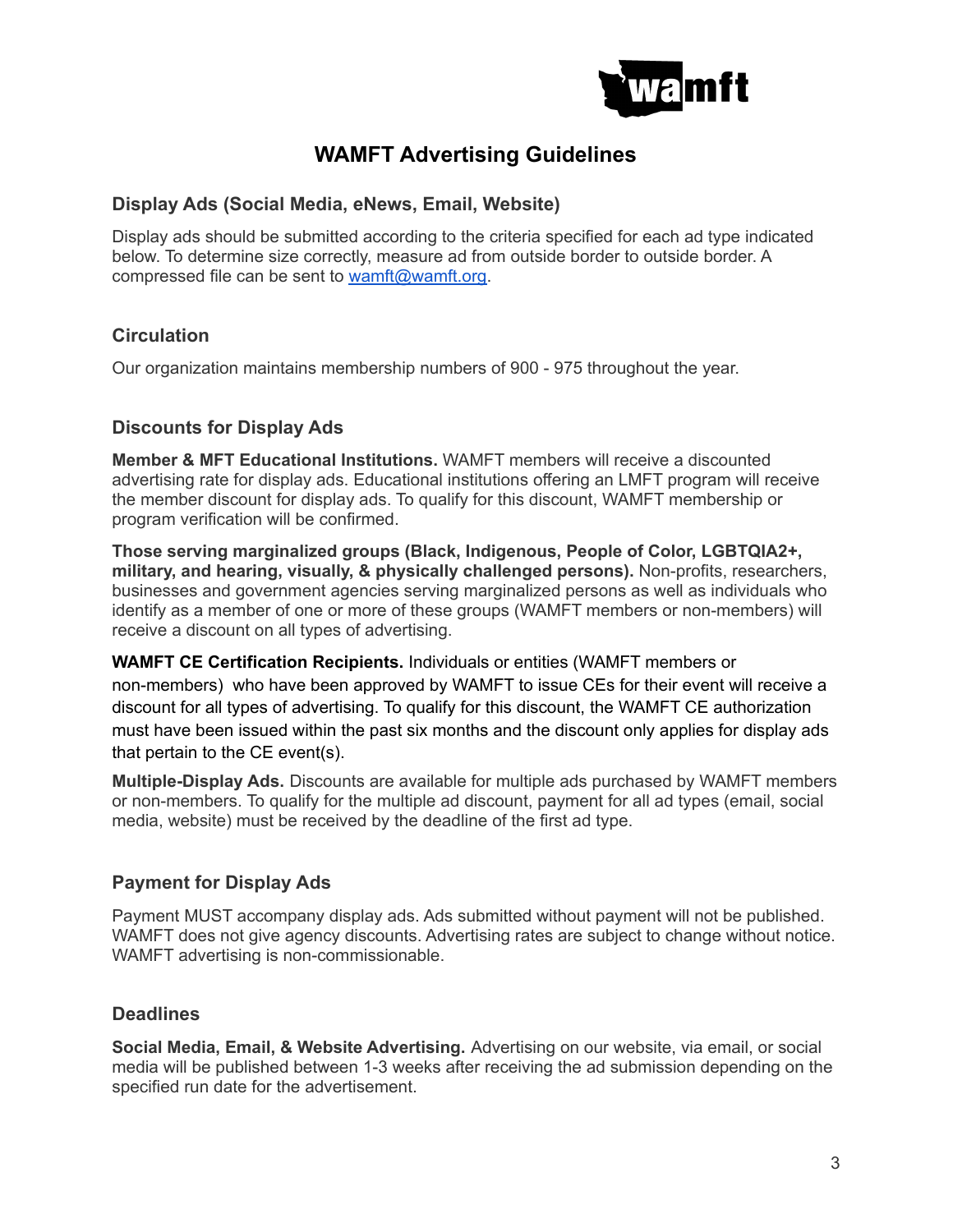

## **WAMFT Advertising Guidelines**

### **Display Ads (Social Media, eNews, Email, Website)**

Display ads should be submitted according to the criteria specified for each ad type indicated below. To determine size correctly, measure ad from outside border to outside border. A compressed file can be sent to [wamft@wamft.org.](mailto:wamft@wamft.org)

## **Circulation**

Our organization maintains membership numbers of 900 - 975 throughout the year.

## **Discounts for Display Ads**

**Member & MFT Educational Institutions.** WAMFT members will receive a discounted advertising rate for display ads. Educational institutions offering an LMFT program will receive the member discount for display ads. To qualify for this discount, WAMFT membership or program verification will be confirmed.

**Those serving marginalized groups (Black, Indigenous, People of Color, LGBTQIA2+, military, and hearing, visually, & physically challenged persons).** Non-profits, researchers, businesses and government agencies serving marginalized persons as well as individuals who identify as a member of one or more of these groups (WAMFT members or non-members) will receive a discount on all types of advertising.

**WAMFT CE Certification Recipients.** Individuals or entities (WAMFT members or non-members) who have been approved by WAMFT to issue CEs for their event will receive a discount for all types of advertising. To qualify for this discount, the WAMFT CE authorization must have been issued within the past six months and the discount only applies for display ads that pertain to the CE event(s).

**Multiple-Display Ads.** Discounts are available for multiple ads purchased by WAMFT members or non-members. To qualify for the multiple ad discount, payment for all ad types (email, social media, website) must be received by the deadline of the first ad type.

### **Payment for Display Ads**

Payment MUST accompany display ads. Ads submitted without payment will not be published. WAMFT does not give agency discounts. Advertising rates are subject to change without notice. WAMFT advertising is non-commissionable.

### **Deadlines**

**Social Media, Email, & Website Advertising.** Advertising on our website, via email, or social media will be published between 1-3 weeks after receiving the ad submission depending on the specified run date for the advertisement.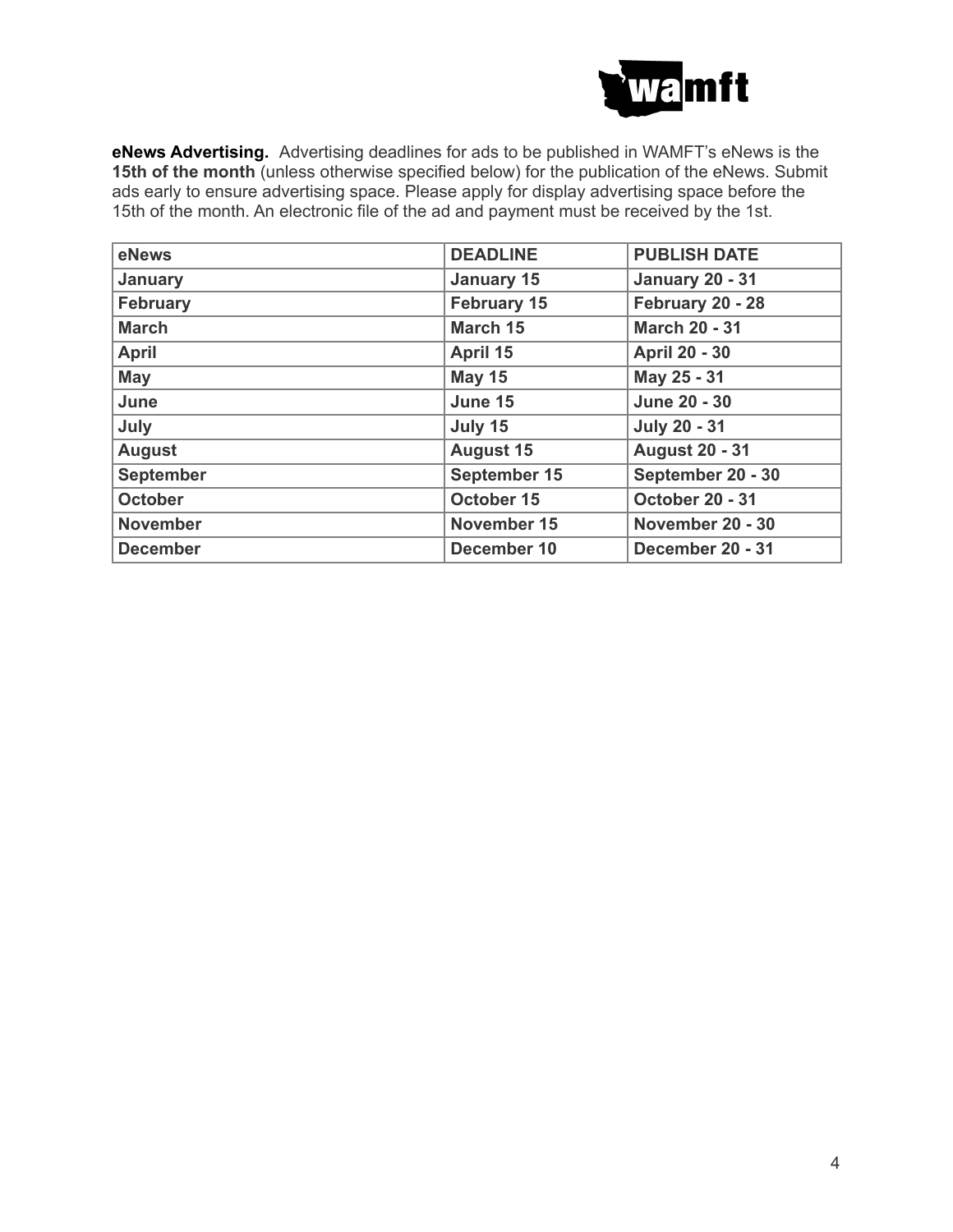

**eNews Advertising.** Advertising deadlines for ads to be published in WAMFT's eNews is the **15th of the month** (unless otherwise specified below) for the publication of the eNews. Submit ads early to ensure advertising space. Please apply for display advertising space before the 15th of the month. An electronic file of the ad and payment must be received by the 1st.

| eNews            | <b>DEADLINE</b>    | <b>PUBLISH DATE</b>    |  |
|------------------|--------------------|------------------------|--|
| January          | <b>January 15</b>  | <b>January 20 - 31</b> |  |
| <b>February</b>  | <b>February 15</b> | February 20 - 28       |  |
| <b>March</b>     | March 15           | <b>March 20 - 31</b>   |  |
| <b>April</b>     | April 15           | <b>April 20 - 30</b>   |  |
| <b>May</b>       | <b>May 15</b>      | May 25 - 31            |  |
| June             | June 15            | <b>June 20 - 30</b>    |  |
| July             | July 15            | <b>July 20 - 31</b>    |  |
| <b>August</b>    | <b>August 15</b>   | <b>August 20 - 31</b>  |  |
| <b>September</b> | September 15       | September 20 - 30      |  |
| <b>October</b>   | October 15         | <b>October 20 - 31</b> |  |
| <b>November</b>  | November 15        | November 20 - 30       |  |
| <b>December</b>  | December 10        | December 20 - 31       |  |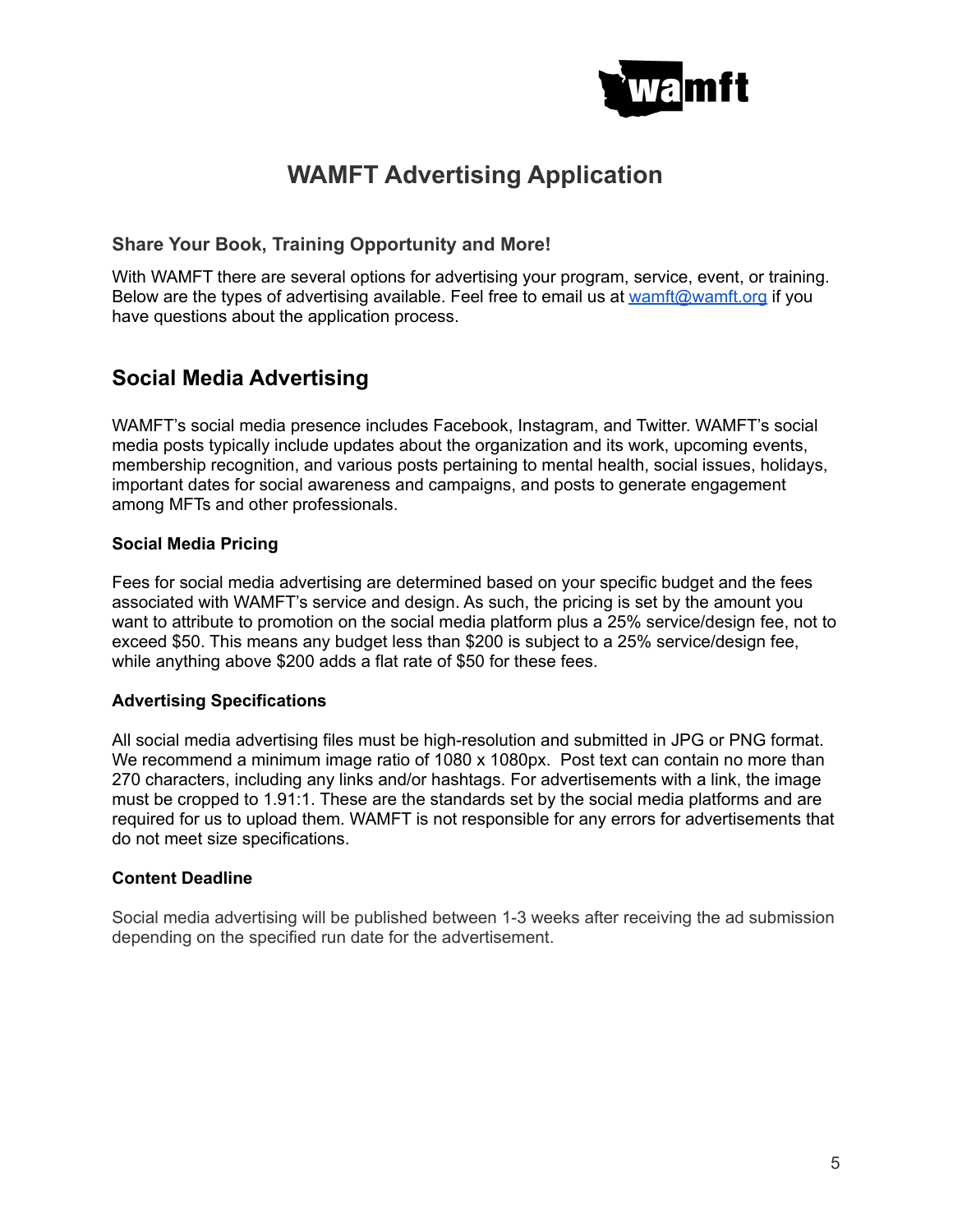

# **WAMFT Advertising Application**

### **Share Your Book, Training Opportunity and More!**

With WAMFT there are several options for advertising your program, service, event, or training. Below are the types of advertising available. Feel free to email us at [wamft@wamft.org](mailto:wamft@wamft.org) if you have questions about the application process.

## **Social Media Advertising**

WAMFT's social media presence includes Facebook, Instagram, and Twitter. WAMFT's social media posts typically include updates about the organization and its work, upcoming events, membership recognition, and various posts pertaining to mental health, social issues, holidays, important dates for social awareness and campaigns, and posts to generate engagement among MFTs and other professionals.

#### **Social Media Pricing**

Fees for social media advertising are determined based on your specific budget and the fees associated with WAMFT's service and design. As such, the pricing is set by the amount you want to attribute to promotion on the social media platform plus a 25% service/design fee, not to exceed \$50. This means any budget less than \$200 is subject to a 25% service/design fee, while anything above \$200 adds a flat rate of \$50 for these fees.

#### **Advertising Specifications**

All social media advertising files must be high-resolution and submitted in JPG or PNG format. We recommend a minimum image ratio of 1080 x 1080px. Post text can contain no more than 270 characters, including any links and/or hashtags. For advertisements with a link, the image must be cropped to 1.91:1. These are the standards set by the social media platforms and are required for us to upload them. WAMFT is not responsible for any errors for advertisements that do not meet size specifications.

#### **Content Deadline**

Social media advertising will be published between 1-3 weeks after receiving the ad submission depending on the specified run date for the advertisement.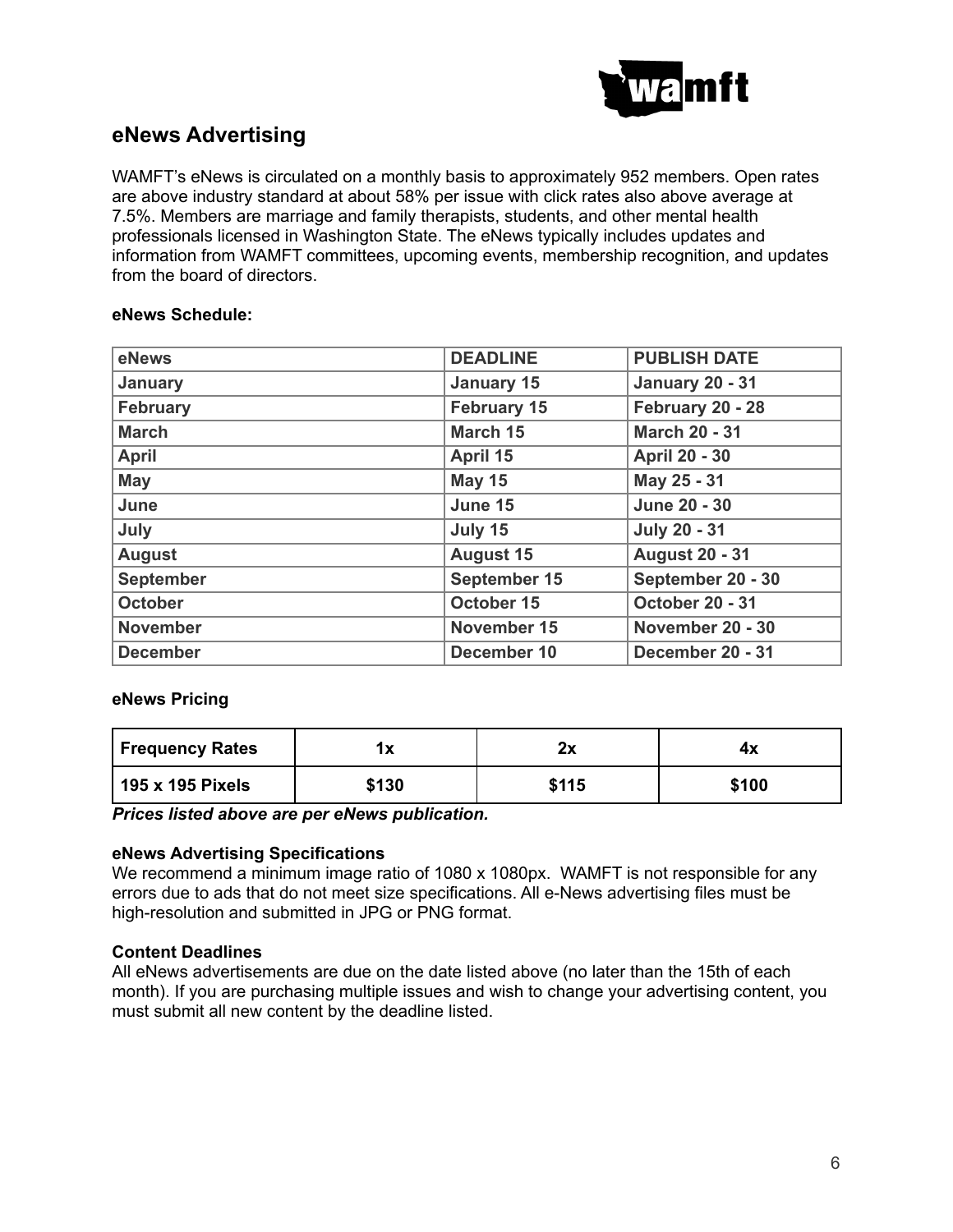

## **eNews Advertising**

WAMFT's eNews is circulated on a monthly basis to approximately 952 members. Open rates are above industry standard at about 58% per issue with click rates also above average at 7.5%. Members are marriage and family therapists, students, and other mental health professionals licensed in Washington State. The eNews typically includes updates and information from WAMFT committees, upcoming events, membership recognition, and updates from the board of directors.

#### **eNews Schedule:**

| eNews            | <b>PUBLISH DATE</b><br><b>DEADLINE</b> |                        |  |
|------------------|----------------------------------------|------------------------|--|
| January          | <b>January 15</b>                      | <b>January 20 - 31</b> |  |
| <b>February</b>  | <b>February 15</b>                     | February 20 - 28       |  |
| <b>March</b>     | March 15                               | <b>March 20 - 31</b>   |  |
| <b>April</b>     | April 15                               | <b>April 20 - 30</b>   |  |
| <b>May</b>       | <b>May 15</b>                          | May 25 - 31            |  |
| June             | June 15                                | <b>June 20 - 30</b>    |  |
| July             | July 15                                | <b>July 20 - 31</b>    |  |
| <b>August</b>    | <b>August 15</b>                       | <b>August 20 - 31</b>  |  |
| <b>September</b> | September 15                           | September 20 - 30      |  |
| <b>October</b>   | October 15                             | <b>October 20 - 31</b> |  |
| <b>November</b>  | November 15                            | November 20 - 30       |  |
| <b>December</b>  | December 10                            | December 20 - 31       |  |

#### **eNews Pricing**

| <b>Frequency Rates</b> | . .<br>'^ | າ~<br>. . | 4х    |
|------------------------|-----------|-----------|-------|
| 195 x 195 Pixels       | \$130     | \$115     | \$100 |

*Prices listed above are per eNews publication.*

#### **eNews Advertising Specifications**

We recommend a minimum image ratio of 1080 x 1080px. WAMFT is not responsible for any errors due to ads that do not meet size specifications. All e-News advertising files must be high-resolution and submitted in JPG or PNG format.

#### **Content Deadlines**

All eNews advertisements are due on the date listed above (no later than the 15th of each month). If you are purchasing multiple issues and wish to change your advertising content, you must submit all new content by the deadline listed.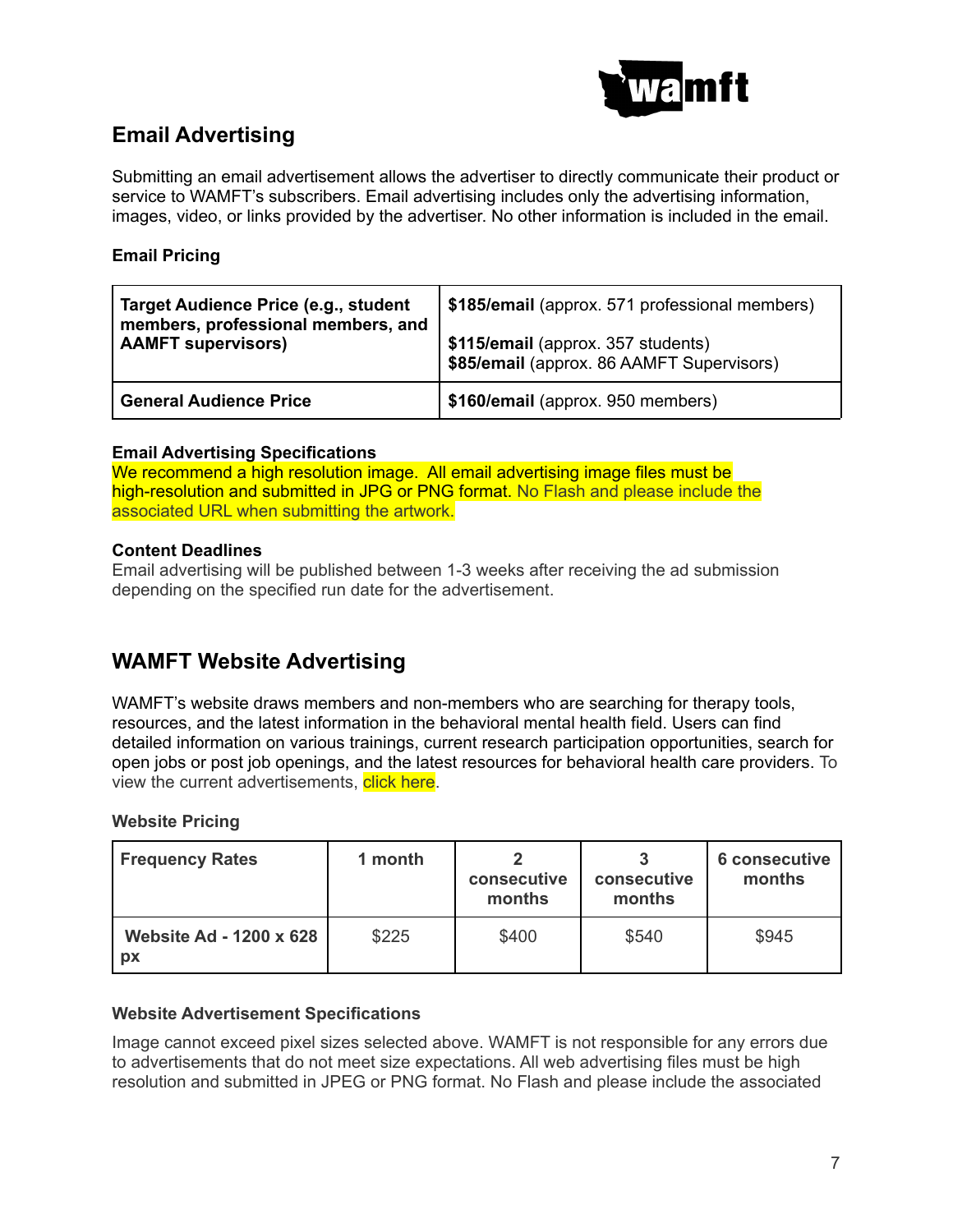

## **Email Advertising**

Submitting an email advertisement allows the advertiser to directly communicate their product or service to WAMFT's subscribers. Email advertising includes only the advertising information, images, video, or links provided by the advertiser. No other information is included in the email.

#### **Email Pricing**

| Target Audience Price (e.g., student<br>members, professional members, and<br><b>AAMFT supervisors)</b> | \$185/email (approx. 571 professional members)                                  |  |
|---------------------------------------------------------------------------------------------------------|---------------------------------------------------------------------------------|--|
|                                                                                                         | \$115/email (approx. 357 students)<br>\$85/email (approx. 86 AAMFT Supervisors) |  |
| <b>General Audience Price</b>                                                                           | \$160/email (approx. 950 members)                                               |  |

#### **Email Advertising Specifications**

We recommend a high resolution image. All email advertising image files must be high-resolution and submitted in JPG or PNG format. No Flash and please include the associated URL when submitting the artwork.

#### **Content Deadlines**

Email advertising will be published between 1-3 weeks after receiving the ad submission depending on the specified run date for the advertisement.

## **WAMFT Website Advertising**

WAMFT's website draws members and non-members who are searching for therapy tools, resources, and the latest information in the behavioral mental health field. Users can find detailed information on various trainings, current research participation opportunities, search for open jobs or post job openings, and the latest resources for behavioral health care providers. To view the current advertisements, click here.

#### **Website Pricing**

| <b>Frequency Rates</b>               | 1 month | consecutive<br>months | consecutive<br>months | 6 consecutive<br>months |
|--------------------------------------|---------|-----------------------|-----------------------|-------------------------|
| <b>Website Ad - 1200 x 628</b><br>рx | \$225   | \$400                 | \$540                 | \$945                   |

#### **Website Advertisement Specifications**

Image cannot exceed pixel sizes selected above. WAMFT is not responsible for any errors due to advertisements that do not meet size expectations. All web advertising files must be high resolution and submitted in JPEG or PNG format. No Flash and please include the associated